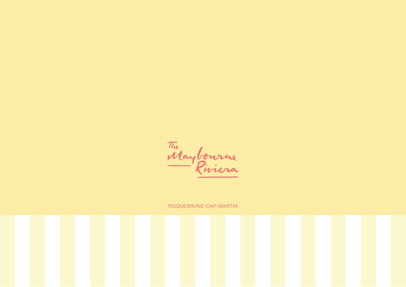The Maybourne

ROQUEBRUNE-CAP-MARTIN